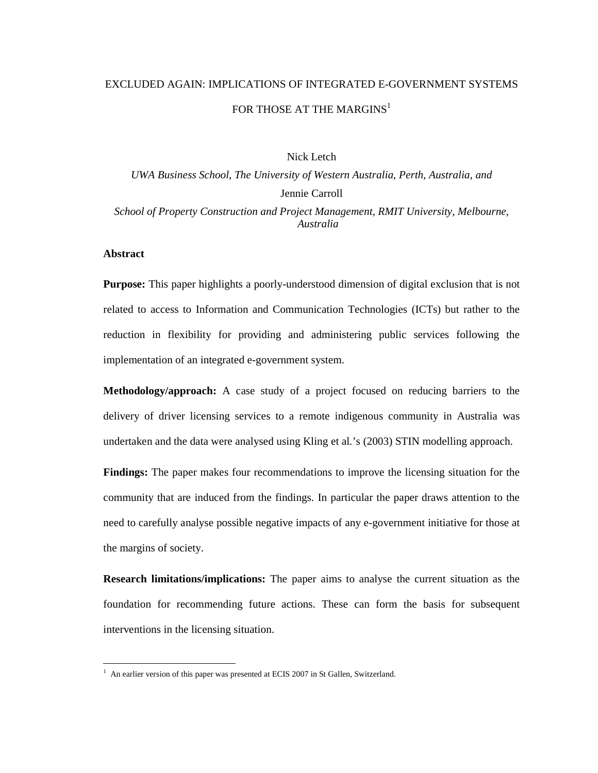# EXCLUDED AGAIN: IMPLICATIONS OF INTEGRATED E-GOVERNMENT SYSTEMS FOR THOSE AT THE MARGINS $^{\rm 1}$

Nick Letch

*UWA Business School, The University of Western Australia, Perth, Australia, and*  Jennie Carroll *School of Property Construction and Project Management, RMIT University, Melbourne, Australia* 

## **Abstract**

 $\overline{a}$ 

**Purpose:** This paper highlights a poorly-understood dimension of digital exclusion that is not related to access to Information and Communication Technologies (ICTs) but rather to the reduction in flexibility for providing and administering public services following the implementation of an integrated e-government system.

**Methodology/approach:** A case study of a project focused on reducing barriers to the delivery of driver licensing services to a remote indigenous community in Australia was undertaken and the data were analysed using Kling et al.'s (2003) STIN modelling approach.

**Findings:** The paper makes four recommendations to improve the licensing situation for the community that are induced from the findings. In particular the paper draws attention to the need to carefully analyse possible negative impacts of any e-government initiative for those at the margins of society.

**Research limitations/implications:** The paper aims to analyse the current situation as the foundation for recommending future actions. These can form the basis for subsequent interventions in the licensing situation.

 $1$  An earlier version of this paper was presented at ECIS 2007 in St Gallen, Switzerland.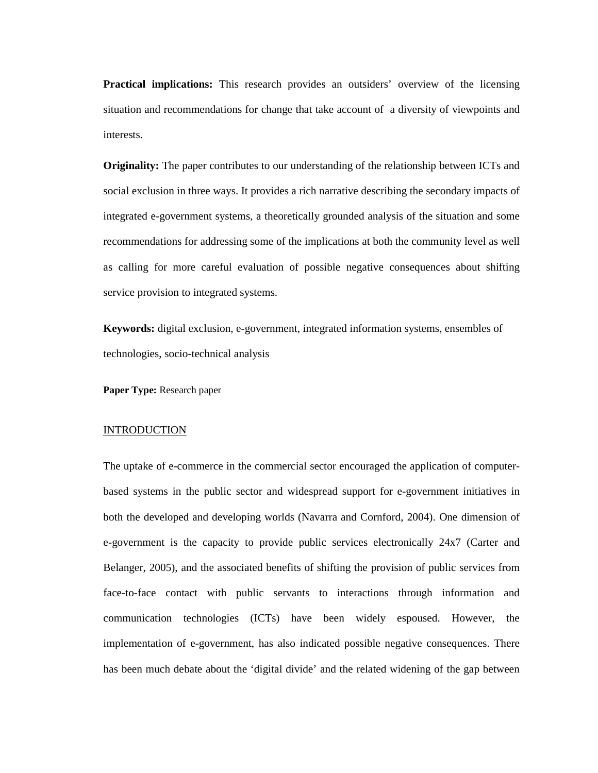**Practical implications:** This research provides an outsiders' overview of the licensing situation and recommendations for change that take account of a diversity of viewpoints and interests.

**Originality:** The paper contributes to our understanding of the relationship between ICTs and social exclusion in three ways. It provides a rich narrative describing the secondary impacts of integrated e-government systems, a theoretically grounded analysis of the situation and some recommendations for addressing some of the implications at both the community level as well as calling for more careful evaluation of possible negative consequences about shifting service provision to integrated systems.

**Keywords:** digital exclusion, e-government, integrated information systems, ensembles of technologies, socio-technical analysis

**Paper Type:** Research paper

#### INTRODUCTION

The uptake of e-commerce in the commercial sector encouraged the application of computerbased systems in the public sector and widespread support for e-government initiatives in both the developed and developing worlds (Navarra and Cornford, 2004). One dimension of e-government is the capacity to provide public services electronically 24x7 (Carter and Belanger, 2005), and the associated benefits of shifting the provision of public services from face-to-face contact with public servants to interactions through information and communication technologies (ICTs) have been widely espoused. However, the implementation of e-government, has also indicated possible negative consequences. There has been much debate about the 'digital divide' and the related widening of the gap between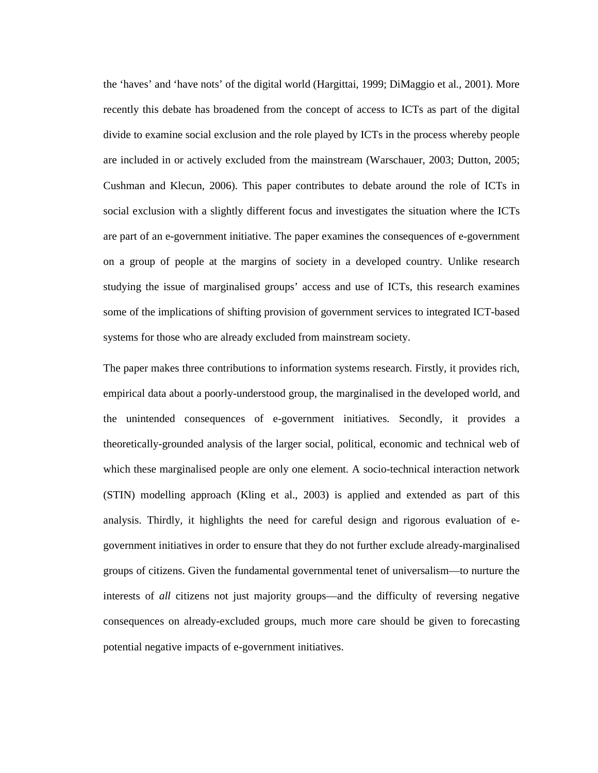the 'haves' and 'have nots' of the digital world (Hargittai, 1999; DiMaggio et al., 2001). More recently this debate has broadened from the concept of access to ICTs as part of the digital divide to examine social exclusion and the role played by ICTs in the process whereby people are included in or actively excluded from the mainstream (Warschauer, 2003; Dutton, 2005; Cushman and Klecun, 2006). This paper contributes to debate around the role of ICTs in social exclusion with a slightly different focus and investigates the situation where the ICTs are part of an e-government initiative. The paper examines the consequences of e-government on a group of people at the margins of society in a developed country. Unlike research studying the issue of marginalised groups' access and use of ICTs, this research examines some of the implications of shifting provision of government services to integrated ICT-based systems for those who are already excluded from mainstream society.

The paper makes three contributions to information systems research. Firstly, it provides rich, empirical data about a poorly-understood group, the marginalised in the developed world, and the unintended consequences of e-government initiatives. Secondly, it provides a theoretically-grounded analysis of the larger social, political, economic and technical web of which these marginalised people are only one element. A socio-technical interaction network (STIN) modelling approach (Kling et al., 2003) is applied and extended as part of this analysis. Thirdly, it highlights the need for careful design and rigorous evaluation of egovernment initiatives in order to ensure that they do not further exclude already-marginalised groups of citizens. Given the fundamental governmental tenet of universalism—to nurture the interests of *all* citizens not just majority groups—and the difficulty of reversing negative consequences on already-excluded groups, much more care should be given to forecasting potential negative impacts of e-government initiatives.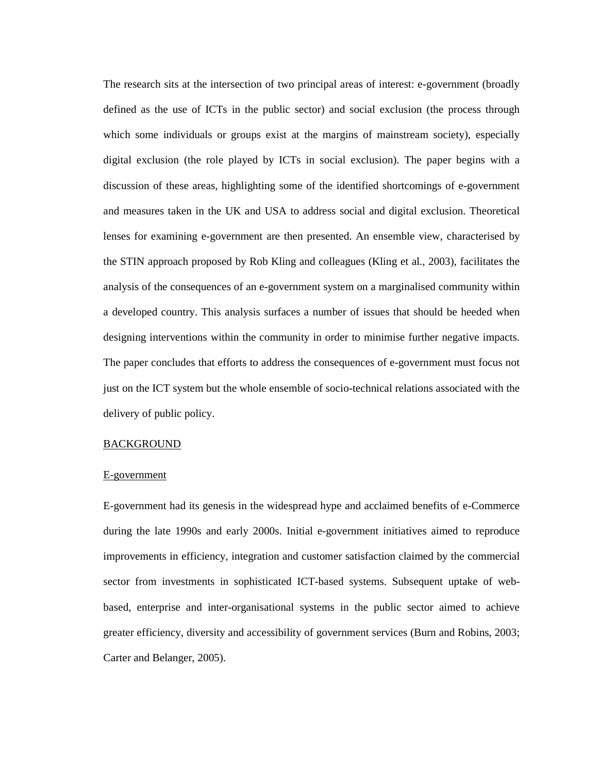The research sits at the intersection of two principal areas of interest: e-government (broadly defined as the use of ICTs in the public sector) and social exclusion (the process through which some individuals or groups exist at the margins of mainstream society), especially digital exclusion (the role played by ICTs in social exclusion). The paper begins with a discussion of these areas, highlighting some of the identified shortcomings of e-government and measures taken in the UK and USA to address social and digital exclusion. Theoretical lenses for examining e-government are then presented. An ensemble view, characterised by the STIN approach proposed by Rob Kling and colleagues (Kling et al., 2003), facilitates the analysis of the consequences of an e-government system on a marginalised community within a developed country. This analysis surfaces a number of issues that should be heeded when designing interventions within the community in order to minimise further negative impacts. The paper concludes that efforts to address the consequences of e-government must focus not just on the ICT system but the whole ensemble of socio-technical relations associated with the delivery of public policy.

#### **BACKGROUND**

#### E-government

E-government had its genesis in the widespread hype and acclaimed benefits of e-Commerce during the late 1990s and early 2000s. Initial e-government initiatives aimed to reproduce improvements in efficiency, integration and customer satisfaction claimed by the commercial sector from investments in sophisticated ICT-based systems. Subsequent uptake of webbased, enterprise and inter-organisational systems in the public sector aimed to achieve greater efficiency, diversity and accessibility of government services (Burn and Robins, 2003; Carter and Belanger, 2005).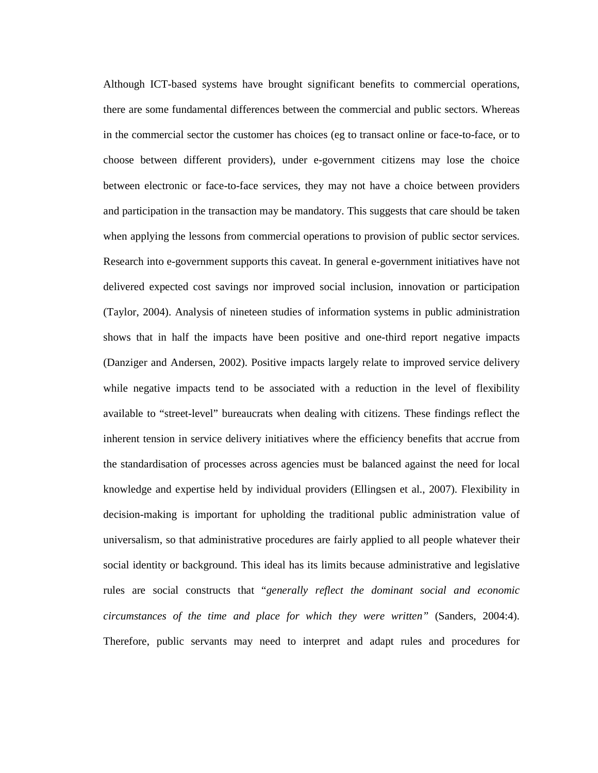Although ICT-based systems have brought significant benefits to commercial operations, there are some fundamental differences between the commercial and public sectors. Whereas in the commercial sector the customer has choices (eg to transact online or face-to-face, or to choose between different providers), under e-government citizens may lose the choice between electronic or face-to-face services, they may not have a choice between providers and participation in the transaction may be mandatory. This suggests that care should be taken when applying the lessons from commercial operations to provision of public sector services. Research into e-government supports this caveat. In general e-government initiatives have not delivered expected cost savings nor improved social inclusion, innovation or participation (Taylor, 2004). Analysis of nineteen studies of information systems in public administration shows that in half the impacts have been positive and one-third report negative impacts (Danziger and Andersen, 2002). Positive impacts largely relate to improved service delivery while negative impacts tend to be associated with a reduction in the level of flexibility available to "street-level" bureaucrats when dealing with citizens. These findings reflect the inherent tension in service delivery initiatives where the efficiency benefits that accrue from the standardisation of processes across agencies must be balanced against the need for local knowledge and expertise held by individual providers (Ellingsen et al., 2007). Flexibility in decision-making is important for upholding the traditional public administration value of universalism, so that administrative procedures are fairly applied to all people whatever their social identity or background. This ideal has its limits because administrative and legislative rules are social constructs that "*generally reflect the dominant social and economic circumstances of the time and place for which they were written"* (Sanders, 2004:4). Therefore, public servants may need to interpret and adapt rules and procedures for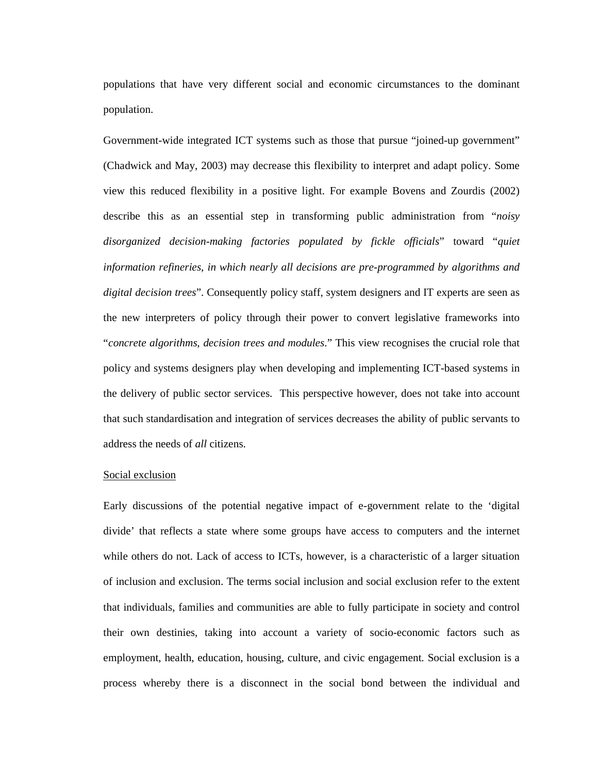populations that have very different social and economic circumstances to the dominant population.

Government-wide integrated ICT systems such as those that pursue "joined-up government" (Chadwick and May, 2003) may decrease this flexibility to interpret and adapt policy. Some view this reduced flexibility in a positive light. For example Bovens and Zourdis (2002) describe this as an essential step in transforming public administration from "*noisy disorganized decision-making factories populated by fickle officials*" toward "*quiet information refineries, in which nearly all decisions are pre-programmed by algorithms and digital decision trees*". Consequently policy staff, system designers and IT experts are seen as the new interpreters of policy through their power to convert legislative frameworks into "*concrete algorithms, decision trees and modules*." This view recognises the crucial role that policy and systems designers play when developing and implementing ICT-based systems in the delivery of public sector services. This perspective however, does not take into account that such standardisation and integration of services decreases the ability of public servants to address the needs of *all* citizens.

#### Social exclusion

Early discussions of the potential negative impact of e-government relate to the 'digital divide' that reflects a state where some groups have access to computers and the internet while others do not. Lack of access to ICTs, however, is a characteristic of a larger situation of inclusion and exclusion. The terms social inclusion and social exclusion refer to the extent that individuals, families and communities are able to fully participate in society and control their own destinies, taking into account a variety of socio-economic factors such as employment, health, education, housing, culture, and civic engagement. Social exclusion is a process whereby there is a disconnect in the social bond between the individual and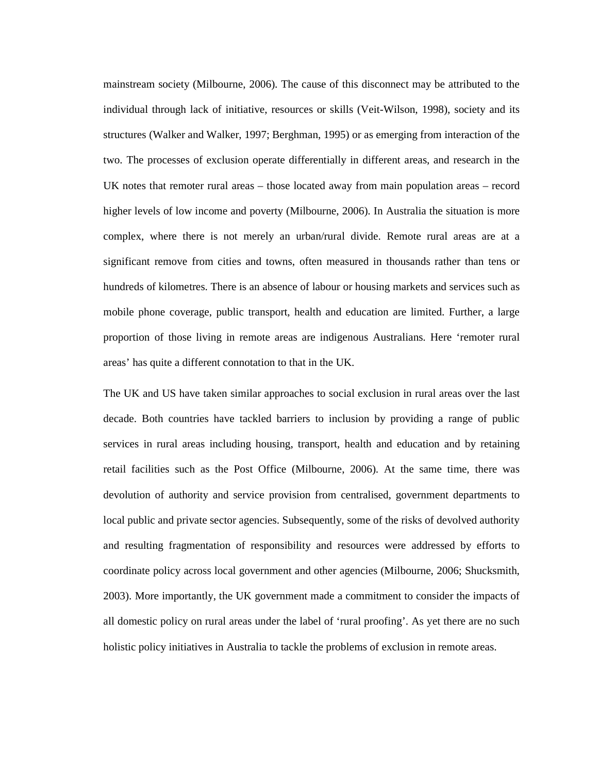mainstream society (Milbourne, 2006). The cause of this disconnect may be attributed to the individual through lack of initiative, resources or skills (Veit-Wilson, 1998), society and its structures (Walker and Walker, 1997; Berghman, 1995) or as emerging from interaction of the two. The processes of exclusion operate differentially in different areas, and research in the UK notes that remoter rural areas – those located away from main population areas – record higher levels of low income and poverty (Milbourne, 2006). In Australia the situation is more complex, where there is not merely an urban/rural divide. Remote rural areas are at a significant remove from cities and towns, often measured in thousands rather than tens or hundreds of kilometres. There is an absence of labour or housing markets and services such as mobile phone coverage, public transport, health and education are limited. Further, a large proportion of those living in remote areas are indigenous Australians. Here 'remoter rural areas' has quite a different connotation to that in the UK.

The UK and US have taken similar approaches to social exclusion in rural areas over the last decade. Both countries have tackled barriers to inclusion by providing a range of public services in rural areas including housing, transport, health and education and by retaining retail facilities such as the Post Office (Milbourne, 2006). At the same time, there was devolution of authority and service provision from centralised, government departments to local public and private sector agencies. Subsequently, some of the risks of devolved authority and resulting fragmentation of responsibility and resources were addressed by efforts to coordinate policy across local government and other agencies (Milbourne, 2006; Shucksmith, 2003). More importantly, the UK government made a commitment to consider the impacts of all domestic policy on rural areas under the label of 'rural proofing'. As yet there are no such holistic policy initiatives in Australia to tackle the problems of exclusion in remote areas.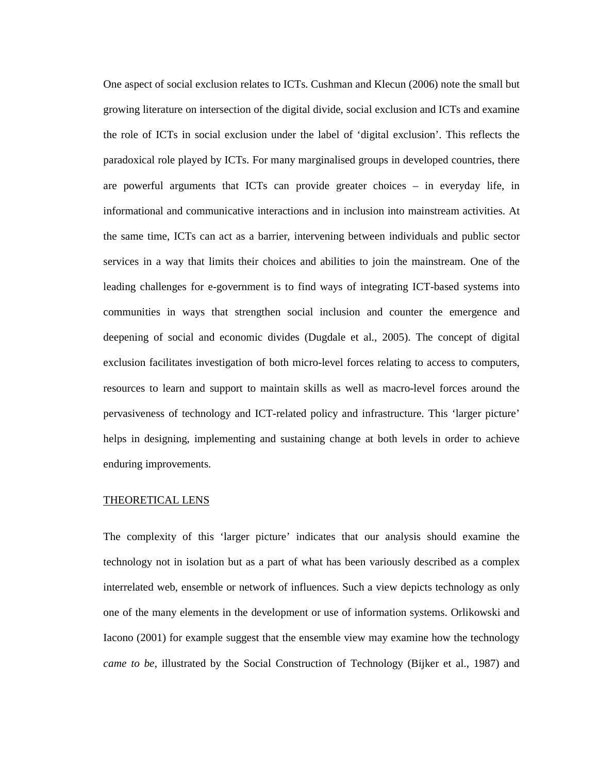One aspect of social exclusion relates to ICTs. Cushman and Klecun (2006) note the small but growing literature on intersection of the digital divide, social exclusion and ICTs and examine the role of ICTs in social exclusion under the label of 'digital exclusion'. This reflects the paradoxical role played by ICTs. For many marginalised groups in developed countries, there are powerful arguments that ICTs can provide greater choices – in everyday life, in informational and communicative interactions and in inclusion into mainstream activities. At the same time, ICTs can act as a barrier, intervening between individuals and public sector services in a way that limits their choices and abilities to join the mainstream. One of the leading challenges for e-government is to find ways of integrating ICT-based systems into communities in ways that strengthen social inclusion and counter the emergence and deepening of social and economic divides (Dugdale et al., 2005). The concept of digital exclusion facilitates investigation of both micro-level forces relating to access to computers, resources to learn and support to maintain skills as well as macro-level forces around the pervasiveness of technology and ICT-related policy and infrastructure. This 'larger picture' helps in designing, implementing and sustaining change at both levels in order to achieve enduring improvements.

## THEORETICAL LENS

The complexity of this 'larger picture' indicates that our analysis should examine the technology not in isolation but as a part of what has been variously described as a complex interrelated web, ensemble or network of influences. Such a view depicts technology as only one of the many elements in the development or use of information systems. Orlikowski and Iacono (2001) for example suggest that the ensemble view may examine how the technology *came to be*, illustrated by the Social Construction of Technology (Bijker et al., 1987) and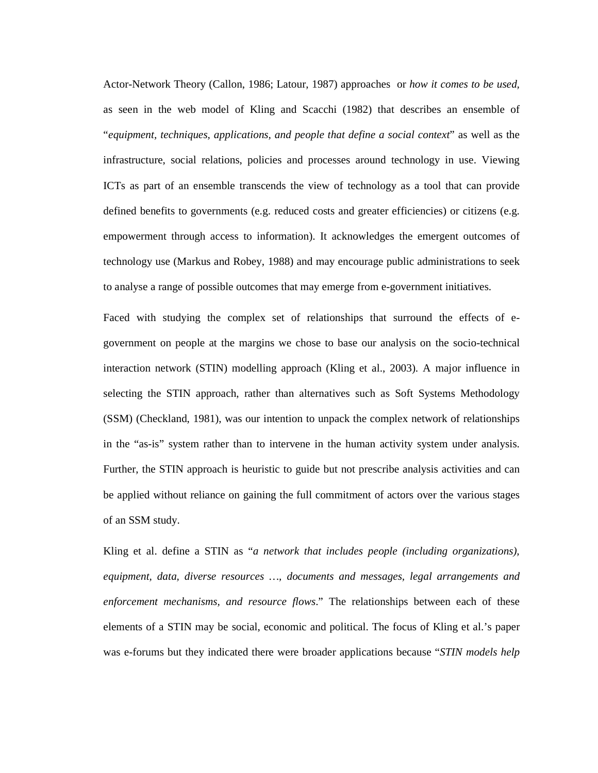Actor-Network Theory (Callon, 1986; Latour, 1987) approaches or *how it comes to be used,* as seen in the web model of Kling and Scacchi (1982) that describes an ensemble of "*equipment, techniques, applications, and people that define a social context*" as well as the infrastructure, social relations, policies and processes around technology in use. Viewing ICTs as part of an ensemble transcends the view of technology as a tool that can provide defined benefits to governments (e.g. reduced costs and greater efficiencies) or citizens (e.g. empowerment through access to information). It acknowledges the emergent outcomes of technology use (Markus and Robey, 1988) and may encourage public administrations to seek to analyse a range of possible outcomes that may emerge from e-government initiatives.

Faced with studying the complex set of relationships that surround the effects of egovernment on people at the margins we chose to base our analysis on the socio-technical interaction network (STIN) modelling approach (Kling et al., 2003). A major influence in selecting the STIN approach, rather than alternatives such as Soft Systems Methodology (SSM) (Checkland, 1981), was our intention to unpack the complex network of relationships in the "as-is" system rather than to intervene in the human activity system under analysis. Further, the STIN approach is heuristic to guide but not prescribe analysis activities and can be applied without reliance on gaining the full commitment of actors over the various stages of an SSM study.

Kling et al. define a STIN as "*a network that includes people (including organizations), equipment, data, diverse resources …, documents and messages, legal arrangements and enforcement mechanisms, and resource flows*." The relationships between each of these elements of a STIN may be social, economic and political. The focus of Kling et al.'s paper was e-forums but they indicated there were broader applications because "*STIN models help*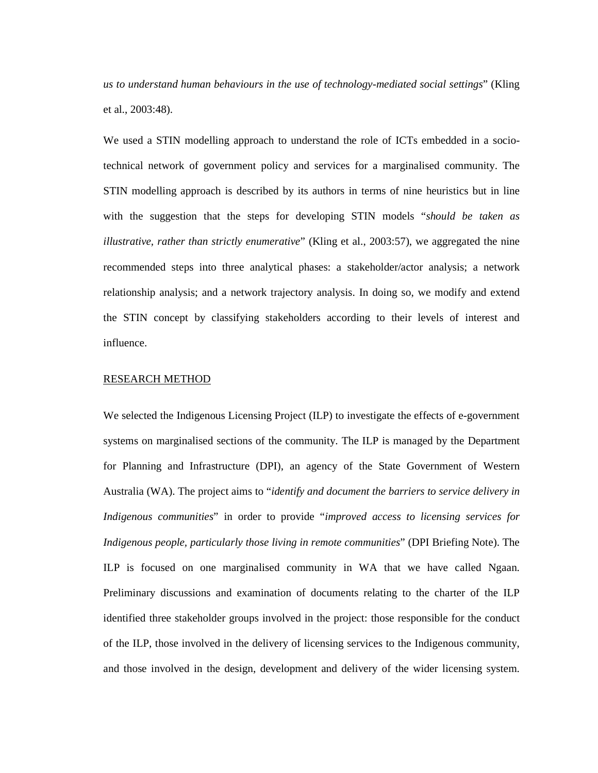*us to understand human behaviours in the use of technology-mediated social settings*" (Kling et al., 2003:48).

We used a STIN modelling approach to understand the role of ICTs embedded in a sociotechnical network of government policy and services for a marginalised community. The STIN modelling approach is described by its authors in terms of nine heuristics but in line with the suggestion that the steps for developing STIN models "*should be taken as illustrative, rather than strictly enumerative*" (Kling et al., 2003:57), we aggregated the nine recommended steps into three analytical phases: a stakeholder/actor analysis; a network relationship analysis; and a network trajectory analysis. In doing so, we modify and extend the STIN concept by classifying stakeholders according to their levels of interest and influence.

#### RESEARCH METHOD

We selected the Indigenous Licensing Project (ILP) to investigate the effects of e-government systems on marginalised sections of the community. The ILP is managed by the Department for Planning and Infrastructure (DPI), an agency of the State Government of Western Australia (WA). The project aims to "*identify and document the barriers to service delivery in Indigenous communities*" in order to provide "*improved access to licensing services for Indigenous people, particularly those living in remote communities*" (DPI Briefing Note). The ILP is focused on one marginalised community in WA that we have called Ngaan. Preliminary discussions and examination of documents relating to the charter of the ILP identified three stakeholder groups involved in the project: those responsible for the conduct of the ILP, those involved in the delivery of licensing services to the Indigenous community, and those involved in the design, development and delivery of the wider licensing system.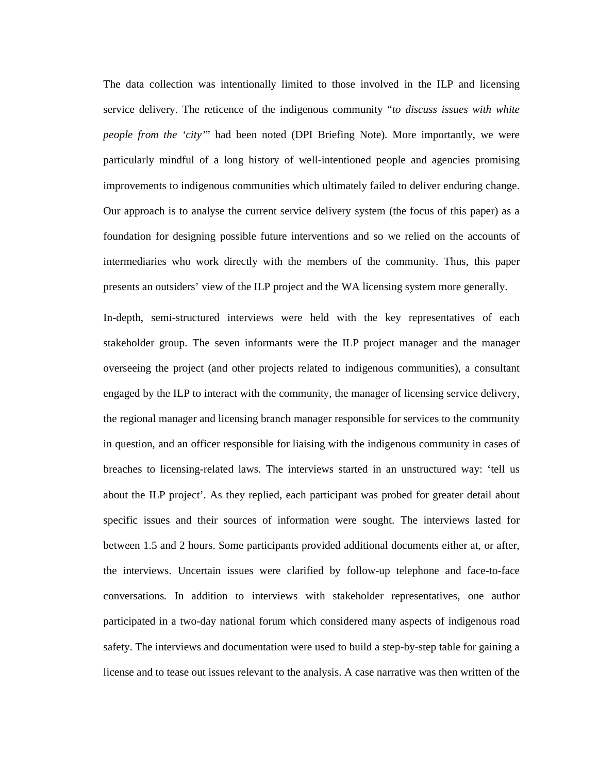The data collection was intentionally limited to those involved in the ILP and licensing service delivery. The reticence of the indigenous community "*to discuss issues with white people from the 'city'*" had been noted (DPI Briefing Note). More importantly, we were particularly mindful of a long history of well-intentioned people and agencies promising improvements to indigenous communities which ultimately failed to deliver enduring change. Our approach is to analyse the current service delivery system (the focus of this paper) as a foundation for designing possible future interventions and so we relied on the accounts of intermediaries who work directly with the members of the community. Thus, this paper presents an outsiders' view of the ILP project and the WA licensing system more generally.

In-depth, semi-structured interviews were held with the key representatives of each stakeholder group. The seven informants were the ILP project manager and the manager overseeing the project (and other projects related to indigenous communities), a consultant engaged by the ILP to interact with the community, the manager of licensing service delivery, the regional manager and licensing branch manager responsible for services to the community in question, and an officer responsible for liaising with the indigenous community in cases of breaches to licensing-related laws. The interviews started in an unstructured way: 'tell us about the ILP project'. As they replied, each participant was probed for greater detail about specific issues and their sources of information were sought. The interviews lasted for between 1.5 and 2 hours. Some participants provided additional documents either at, or after, the interviews. Uncertain issues were clarified by follow-up telephone and face-to-face conversations. In addition to interviews with stakeholder representatives, one author participated in a two-day national forum which considered many aspects of indigenous road safety. The interviews and documentation were used to build a step-by-step table for gaining a license and to tease out issues relevant to the analysis. A case narrative was then written of the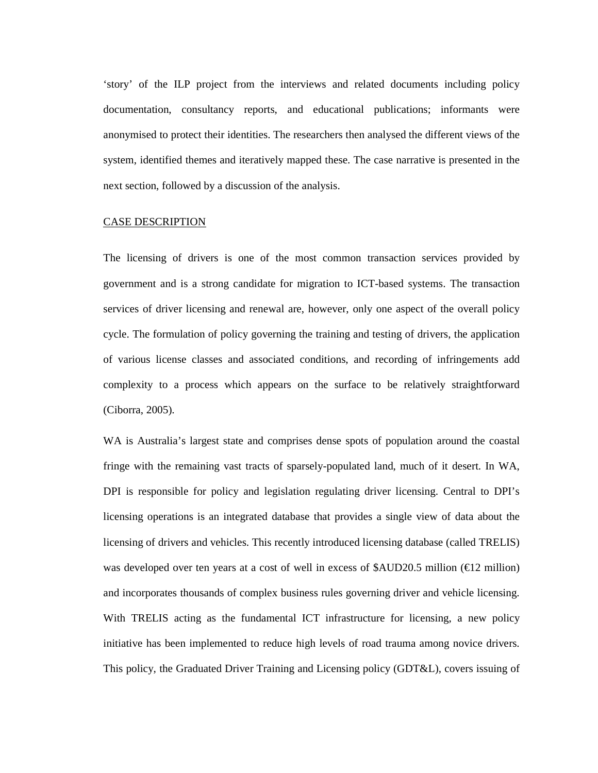'story' of the ILP project from the interviews and related documents including policy documentation, consultancy reports, and educational publications; informants were anonymised to protect their identities. The researchers then analysed the different views of the system, identified themes and iteratively mapped these. The case narrative is presented in the next section, followed by a discussion of the analysis.

#### CASE DESCRIPTION

The licensing of drivers is one of the most common transaction services provided by government and is a strong candidate for migration to ICT-based systems. The transaction services of driver licensing and renewal are, however, only one aspect of the overall policy cycle. The formulation of policy governing the training and testing of drivers, the application of various license classes and associated conditions, and recording of infringements add complexity to a process which appears on the surface to be relatively straightforward (Ciborra, 2005).

WA is Australia's largest state and comprises dense spots of population around the coastal fringe with the remaining vast tracts of sparsely-populated land, much of it desert. In WA, DPI is responsible for policy and legislation regulating driver licensing. Central to DPI's licensing operations is an integrated database that provides a single view of data about the licensing of drivers and vehicles. This recently introduced licensing database (called TRELIS) was developed over ten years at a cost of well in excess of  $\Delta UD20.5$  million ( $\epsilon$ 12 million) and incorporates thousands of complex business rules governing driver and vehicle licensing. With TRELIS acting as the fundamental ICT infrastructure for licensing, a new policy initiative has been implemented to reduce high levels of road trauma among novice drivers. This policy, the Graduated Driver Training and Licensing policy (GDT&L), covers issuing of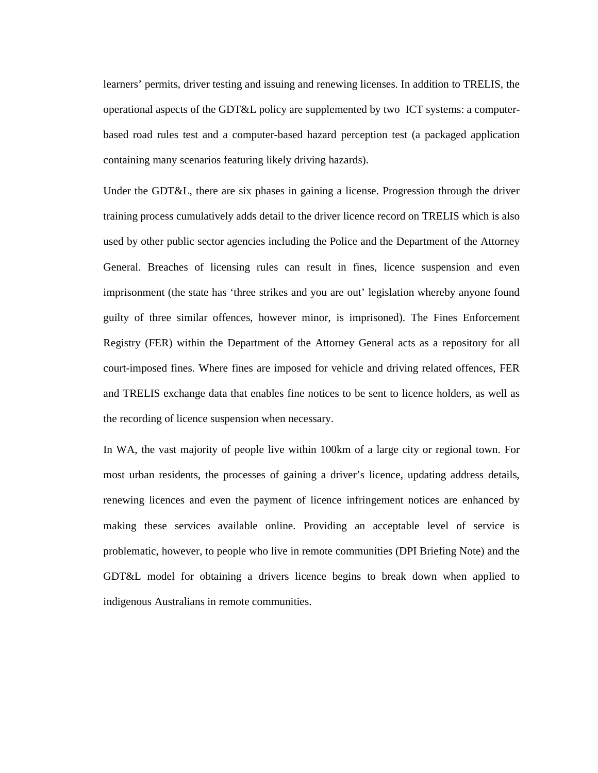learners' permits, driver testing and issuing and renewing licenses. In addition to TRELIS, the operational aspects of the GDT&L policy are supplemented by two ICT systems: a computerbased road rules test and a computer-based hazard perception test (a packaged application containing many scenarios featuring likely driving hazards).

Under the GDT&L, there are six phases in gaining a license. Progression through the driver training process cumulatively adds detail to the driver licence record on TRELIS which is also used by other public sector agencies including the Police and the Department of the Attorney General. Breaches of licensing rules can result in fines, licence suspension and even imprisonment (the state has 'three strikes and you are out' legislation whereby anyone found guilty of three similar offences, however minor, is imprisoned). The Fines Enforcement Registry (FER) within the Department of the Attorney General acts as a repository for all court-imposed fines. Where fines are imposed for vehicle and driving related offences, FER and TRELIS exchange data that enables fine notices to be sent to licence holders, as well as the recording of licence suspension when necessary.

In WA, the vast majority of people live within 100km of a large city or regional town. For most urban residents, the processes of gaining a driver's licence, updating address details, renewing licences and even the payment of licence infringement notices are enhanced by making these services available online. Providing an acceptable level of service is problematic, however, to people who live in remote communities (DPI Briefing Note) and the GDT&L model for obtaining a drivers licence begins to break down when applied to indigenous Australians in remote communities.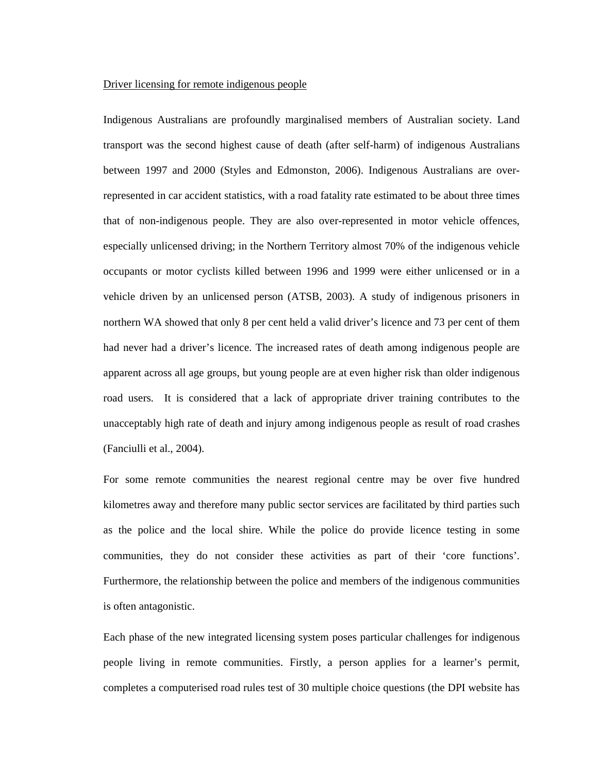#### Driver licensing for remote indigenous people

Indigenous Australians are profoundly marginalised members of Australian society. Land transport was the second highest cause of death (after self-harm) of indigenous Australians between 1997 and 2000 (Styles and Edmonston, 2006). Indigenous Australians are overrepresented in car accident statistics, with a road fatality rate estimated to be about three times that of non-indigenous people. They are also over-represented in motor vehicle offences, especially unlicensed driving; in the Northern Territory almost 70% of the indigenous vehicle occupants or motor cyclists killed between 1996 and 1999 were either unlicensed or in a vehicle driven by an unlicensed person (ATSB, 2003). A study of indigenous prisoners in northern WA showed that only 8 per cent held a valid driver's licence and 73 per cent of them had never had a driver's licence. The increased rates of death among indigenous people are apparent across all age groups, but young people are at even higher risk than older indigenous road users. It is considered that a lack of appropriate driver training contributes to the unacceptably high rate of death and injury among indigenous people as result of road crashes (Fanciulli et al., 2004).

For some remote communities the nearest regional centre may be over five hundred kilometres away and therefore many public sector services are facilitated by third parties such as the police and the local shire. While the police do provide licence testing in some communities, they do not consider these activities as part of their 'core functions'. Furthermore, the relationship between the police and members of the indigenous communities is often antagonistic.

Each phase of the new integrated licensing system poses particular challenges for indigenous people living in remote communities. Firstly, a person applies for a learner's permit, completes a computerised road rules test of 30 multiple choice questions (the DPI website has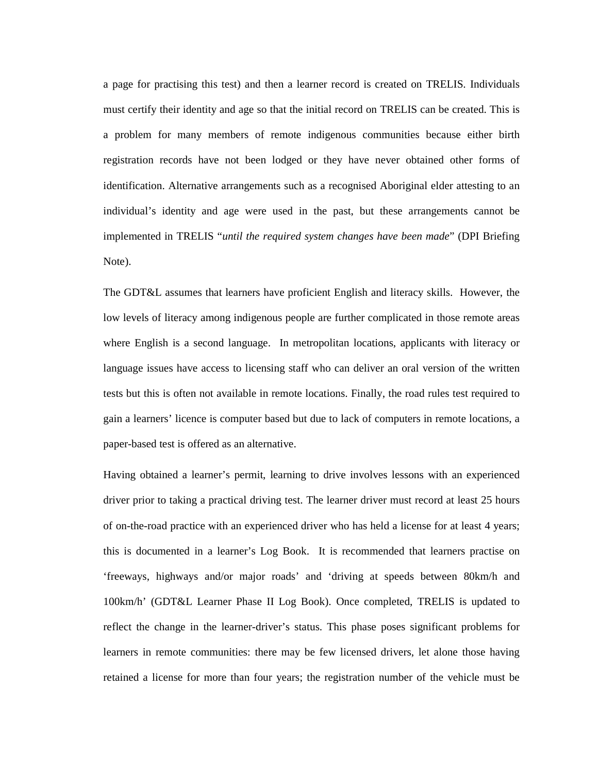a page for practising this test) and then a learner record is created on TRELIS. Individuals must certify their identity and age so that the initial record on TRELIS can be created. This is a problem for many members of remote indigenous communities because either birth registration records have not been lodged or they have never obtained other forms of identification. Alternative arrangements such as a recognised Aboriginal elder attesting to an individual's identity and age were used in the past, but these arrangements cannot be implemented in TRELIS "*until the required system changes have been made*" (DPI Briefing Note).

The GDT&L assumes that learners have proficient English and literacy skills. However, the low levels of literacy among indigenous people are further complicated in those remote areas where English is a second language. In metropolitan locations, applicants with literacy or language issues have access to licensing staff who can deliver an oral version of the written tests but this is often not available in remote locations. Finally, the road rules test required to gain a learners' licence is computer based but due to lack of computers in remote locations, a paper-based test is offered as an alternative.

Having obtained a learner's permit, learning to drive involves lessons with an experienced driver prior to taking a practical driving test. The learner driver must record at least 25 hours of on-the-road practice with an experienced driver who has held a license for at least 4 years; this is documented in a learner's Log Book. It is recommended that learners practise on 'freeways, highways and/or major roads' and 'driving at speeds between 80km/h and 100km/h' (GDT&L Learner Phase II Log Book). Once completed, TRELIS is updated to reflect the change in the learner-driver's status. This phase poses significant problems for learners in remote communities: there may be few licensed drivers, let alone those having retained a license for more than four years; the registration number of the vehicle must be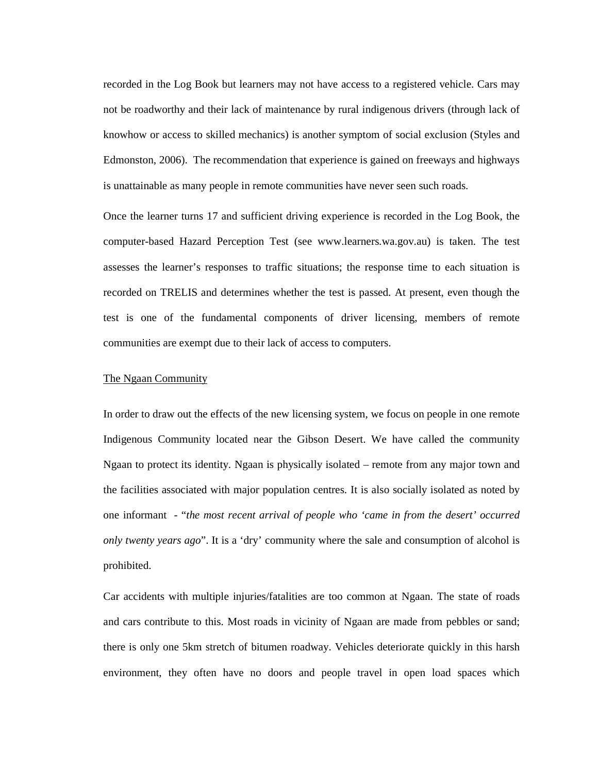recorded in the Log Book but learners may not have access to a registered vehicle. Cars may not be roadworthy and their lack of maintenance by rural indigenous drivers (through lack of knowhow or access to skilled mechanics) is another symptom of social exclusion (Styles and Edmonston, 2006). The recommendation that experience is gained on freeways and highways is unattainable as many people in remote communities have never seen such roads.

Once the learner turns 17 and sufficient driving experience is recorded in the Log Book, the computer-based Hazard Perception Test (see www.learners.wa.gov.au) is taken. The test assesses the learner's responses to traffic situations; the response time to each situation is recorded on TRELIS and determines whether the test is passed. At present, even though the test is one of the fundamental components of driver licensing, members of remote communities are exempt due to their lack of access to computers.

#### The Ngaan Community

In order to draw out the effects of the new licensing system, we focus on people in one remote Indigenous Community located near the Gibson Desert. We have called the community Ngaan to protect its identity. Ngaan is physically isolated – remote from any major town and the facilities associated with major population centres. It is also socially isolated as noted by one informant - "*the most recent arrival of people who 'came in from the desert' occurred only twenty years ago*". It is a 'dry' community where the sale and consumption of alcohol is prohibited.

Car accidents with multiple injuries/fatalities are too common at Ngaan. The state of roads and cars contribute to this. Most roads in vicinity of Ngaan are made from pebbles or sand; there is only one 5km stretch of bitumen roadway. Vehicles deteriorate quickly in this harsh environment, they often have no doors and people travel in open load spaces which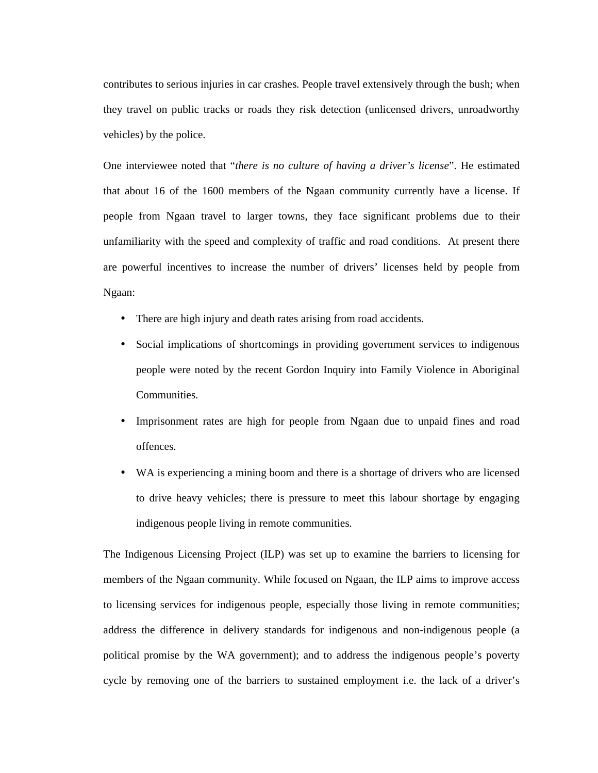contributes to serious injuries in car crashes. People travel extensively through the bush; when they travel on public tracks or roads they risk detection (unlicensed drivers, unroadworthy vehicles) by the police.

One interviewee noted that "*there is no culture of having a driver's license*". He estimated that about 16 of the 1600 members of the Ngaan community currently have a license. If people from Ngaan travel to larger towns, they face significant problems due to their unfamiliarity with the speed and complexity of traffic and road conditions. At present there are powerful incentives to increase the number of drivers' licenses held by people from Ngaan:

- There are high injury and death rates arising from road accidents.
- Social implications of shortcomings in providing government services to indigenous people were noted by the recent Gordon Inquiry into Family Violence in Aboriginal Communities.
- Imprisonment rates are high for people from Ngaan due to unpaid fines and road offences.
- WA is experiencing a mining boom and there is a shortage of drivers who are licensed to drive heavy vehicles; there is pressure to meet this labour shortage by engaging indigenous people living in remote communities.

The Indigenous Licensing Project (ILP) was set up to examine the barriers to licensing for members of the Ngaan community. While focused on Ngaan, the ILP aims to improve access to licensing services for indigenous people, especially those living in remote communities; address the difference in delivery standards for indigenous and non-indigenous people (a political promise by the WA government); and to address the indigenous people's poverty cycle by removing one of the barriers to sustained employment i.e. the lack of a driver's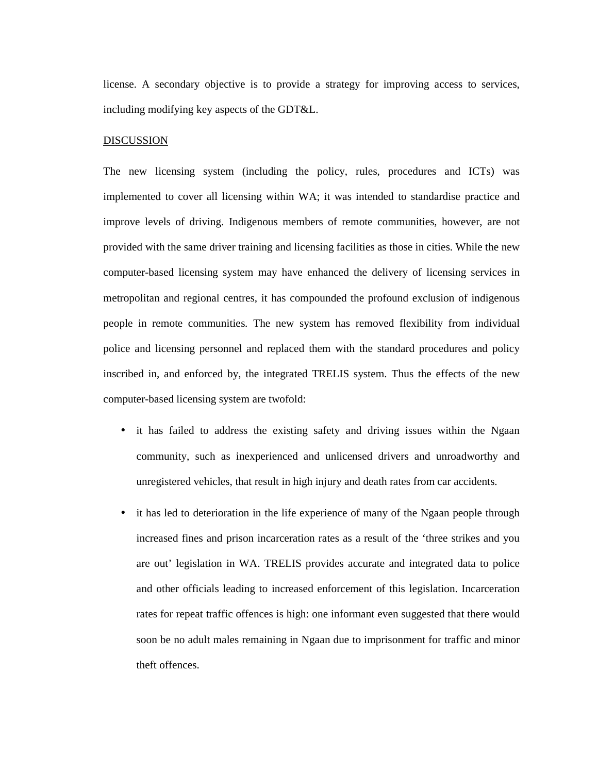license. A secondary objective is to provide a strategy for improving access to services, including modifying key aspects of the GDT&L.

#### DISCUSSION

The new licensing system (including the policy, rules, procedures and ICTs) was implemented to cover all licensing within WA; it was intended to standardise practice and improve levels of driving. Indigenous members of remote communities, however, are not provided with the same driver training and licensing facilities as those in cities. While the new computer-based licensing system may have enhanced the delivery of licensing services in metropolitan and regional centres, it has compounded the profound exclusion of indigenous people in remote communities. The new system has removed flexibility from individual police and licensing personnel and replaced them with the standard procedures and policy inscribed in, and enforced by, the integrated TRELIS system. Thus the effects of the new computer-based licensing system are twofold:

- it has failed to address the existing safety and driving issues within the Ngaan community, such as inexperienced and unlicensed drivers and unroadworthy and unregistered vehicles, that result in high injury and death rates from car accidents.
- it has led to deterioration in the life experience of many of the Ngaan people through increased fines and prison incarceration rates as a result of the 'three strikes and you are out' legislation in WA. TRELIS provides accurate and integrated data to police and other officials leading to increased enforcement of this legislation. Incarceration rates for repeat traffic offences is high: one informant even suggested that there would soon be no adult males remaining in Ngaan due to imprisonment for traffic and minor theft offences.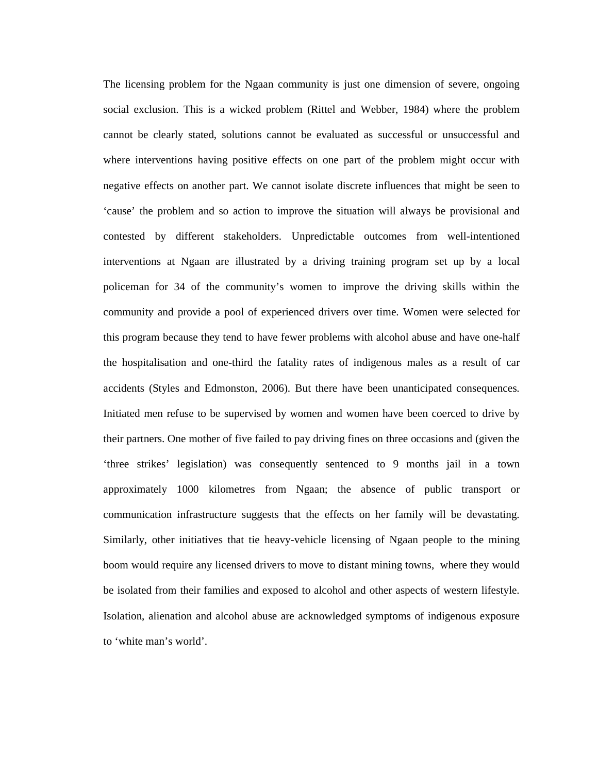The licensing problem for the Ngaan community is just one dimension of severe, ongoing social exclusion. This is a wicked problem (Rittel and Webber, 1984) where the problem cannot be clearly stated, solutions cannot be evaluated as successful or unsuccessful and where interventions having positive effects on one part of the problem might occur with negative effects on another part. We cannot isolate discrete influences that might be seen to 'cause' the problem and so action to improve the situation will always be provisional and contested by different stakeholders. Unpredictable outcomes from well-intentioned interventions at Ngaan are illustrated by a driving training program set up by a local policeman for 34 of the community's women to improve the driving skills within the community and provide a pool of experienced drivers over time. Women were selected for this program because they tend to have fewer problems with alcohol abuse and have one-half the hospitalisation and one-third the fatality rates of indigenous males as a result of car accidents (Styles and Edmonston, 2006). But there have been unanticipated consequences. Initiated men refuse to be supervised by women and women have been coerced to drive by their partners. One mother of five failed to pay driving fines on three occasions and (given the 'three strikes' legislation) was consequently sentenced to 9 months jail in a town approximately 1000 kilometres from Ngaan; the absence of public transport or communication infrastructure suggests that the effects on her family will be devastating. Similarly, other initiatives that tie heavy-vehicle licensing of Ngaan people to the mining boom would require any licensed drivers to move to distant mining towns, where they would be isolated from their families and exposed to alcohol and other aspects of western lifestyle. Isolation, alienation and alcohol abuse are acknowledged symptoms of indigenous exposure to 'white man's world'.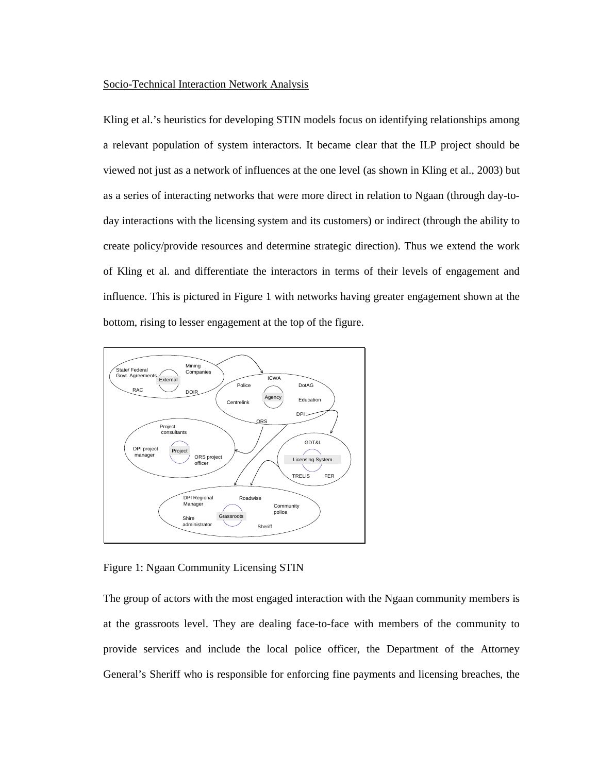#### Socio-Technical Interaction Network Analysis

Kling et al.'s heuristics for developing STIN models focus on identifying relationships among a relevant population of system interactors. It became clear that the ILP project should be viewed not just as a network of influences at the one level (as shown in Kling et al., 2003) but as a series of interacting networks that were more direct in relation to Ngaan (through day-today interactions with the licensing system and its customers) or indirect (through the ability to create policy/provide resources and determine strategic direction). Thus we extend the work of Kling et al. and differentiate the interactors in terms of their levels of engagement and influence. This is pictured in Figure 1 with networks having greater engagement shown at the bottom, rising to lesser engagement at the top of the figure.



Figure 1: Ngaan Community Licensing STIN

The group of actors with the most engaged interaction with the Ngaan community members is at the grassroots level. They are dealing face-to-face with members of the community to provide services and include the local police officer, the Department of the Attorney General's Sheriff who is responsible for enforcing fine payments and licensing breaches, the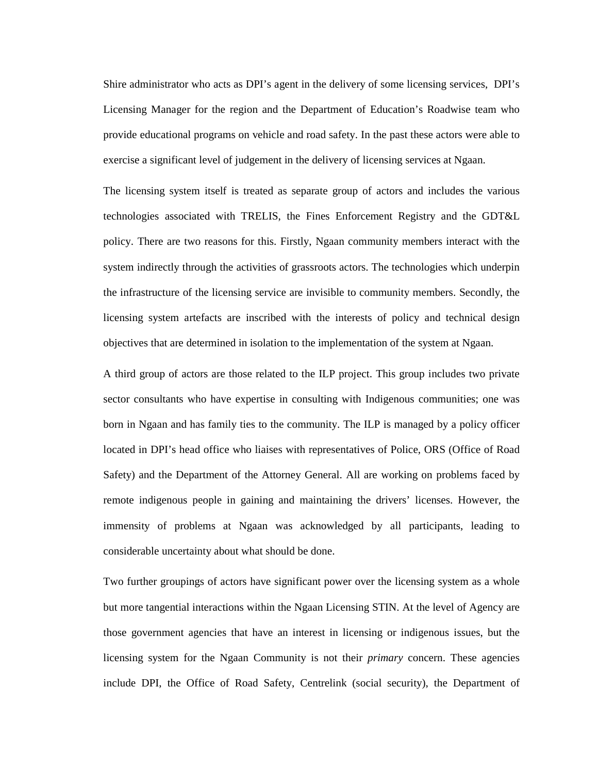Shire administrator who acts as DPI's agent in the delivery of some licensing services, DPI's Licensing Manager for the region and the Department of Education's Roadwise team who provide educational programs on vehicle and road safety. In the past these actors were able to exercise a significant level of judgement in the delivery of licensing services at Ngaan.

The licensing system itself is treated as separate group of actors and includes the various technologies associated with TRELIS, the Fines Enforcement Registry and the GDT&L policy. There are two reasons for this. Firstly, Ngaan community members interact with the system indirectly through the activities of grassroots actors. The technologies which underpin the infrastructure of the licensing service are invisible to community members. Secondly, the licensing system artefacts are inscribed with the interests of policy and technical design objectives that are determined in isolation to the implementation of the system at Ngaan.

A third group of actors are those related to the ILP project. This group includes two private sector consultants who have expertise in consulting with Indigenous communities; one was born in Ngaan and has family ties to the community. The ILP is managed by a policy officer located in DPI's head office who liaises with representatives of Police, ORS (Office of Road Safety) and the Department of the Attorney General. All are working on problems faced by remote indigenous people in gaining and maintaining the drivers' licenses. However, the immensity of problems at Ngaan was acknowledged by all participants, leading to considerable uncertainty about what should be done.

Two further groupings of actors have significant power over the licensing system as a whole but more tangential interactions within the Ngaan Licensing STIN. At the level of Agency are those government agencies that have an interest in licensing or indigenous issues, but the licensing system for the Ngaan Community is not their *primary* concern. These agencies include DPI, the Office of Road Safety, Centrelink (social security), the Department of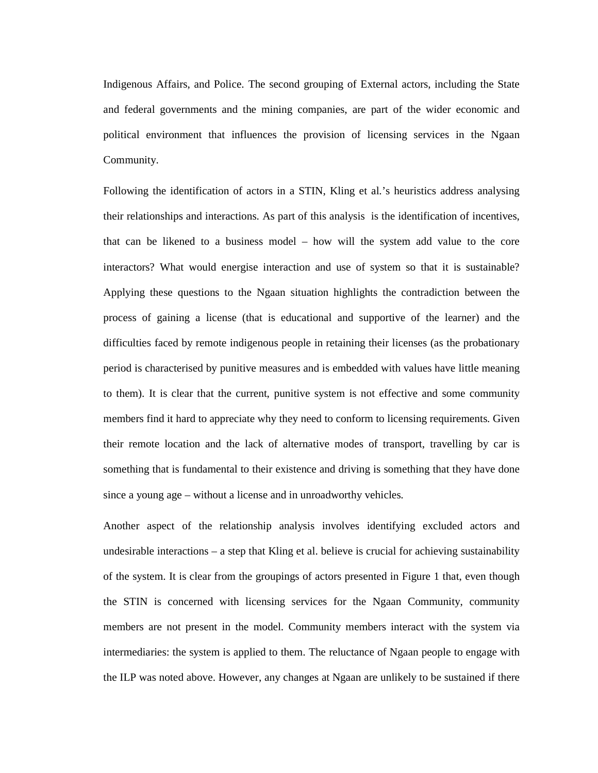Indigenous Affairs, and Police. The second grouping of External actors, including the State and federal governments and the mining companies, are part of the wider economic and political environment that influences the provision of licensing services in the Ngaan Community.

Following the identification of actors in a STIN, Kling et al.'s heuristics address analysing their relationships and interactions. As part of this analysis is the identification of incentives, that can be likened to a business model – how will the system add value to the core interactors? What would energise interaction and use of system so that it is sustainable? Applying these questions to the Ngaan situation highlights the contradiction between the process of gaining a license (that is educational and supportive of the learner) and the difficulties faced by remote indigenous people in retaining their licenses (as the probationary period is characterised by punitive measures and is embedded with values have little meaning to them). It is clear that the current, punitive system is not effective and some community members find it hard to appreciate why they need to conform to licensing requirements. Given their remote location and the lack of alternative modes of transport, travelling by car is something that is fundamental to their existence and driving is something that they have done since a young age – without a license and in unroadworthy vehicles.

Another aspect of the relationship analysis involves identifying excluded actors and undesirable interactions – a step that Kling et al. believe is crucial for achieving sustainability of the system. It is clear from the groupings of actors presented in Figure 1 that, even though the STIN is concerned with licensing services for the Ngaan Community, community members are not present in the model. Community members interact with the system via intermediaries: the system is applied to them. The reluctance of Ngaan people to engage with the ILP was noted above. However, any changes at Ngaan are unlikely to be sustained if there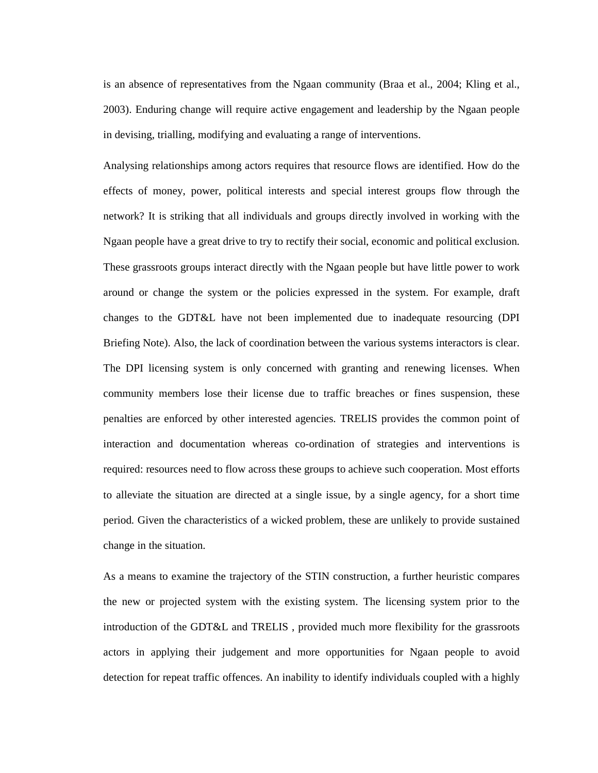is an absence of representatives from the Ngaan community (Braa et al., 2004; Kling et al., 2003). Enduring change will require active engagement and leadership by the Ngaan people in devising, trialling, modifying and evaluating a range of interventions.

Analysing relationships among actors requires that resource flows are identified. How do the effects of money, power, political interests and special interest groups flow through the network? It is striking that all individuals and groups directly involved in working with the Ngaan people have a great drive to try to rectify their social, economic and political exclusion. These grassroots groups interact directly with the Ngaan people but have little power to work around or change the system or the policies expressed in the system. For example, draft changes to the GDT&L have not been implemented due to inadequate resourcing (DPI Briefing Note). Also, the lack of coordination between the various systems interactors is clear. The DPI licensing system is only concerned with granting and renewing licenses. When community members lose their license due to traffic breaches or fines suspension, these penalties are enforced by other interested agencies. TRELIS provides the common point of interaction and documentation whereas co-ordination of strategies and interventions is required: resources need to flow across these groups to achieve such cooperation. Most efforts to alleviate the situation are directed at a single issue, by a single agency, for a short time period. Given the characteristics of a wicked problem, these are unlikely to provide sustained change in the situation.

As a means to examine the trajectory of the STIN construction, a further heuristic compares the new or projected system with the existing system. The licensing system prior to the introduction of the GDT&L and TRELIS , provided much more flexibility for the grassroots actors in applying their judgement and more opportunities for Ngaan people to avoid detection for repeat traffic offences. An inability to identify individuals coupled with a highly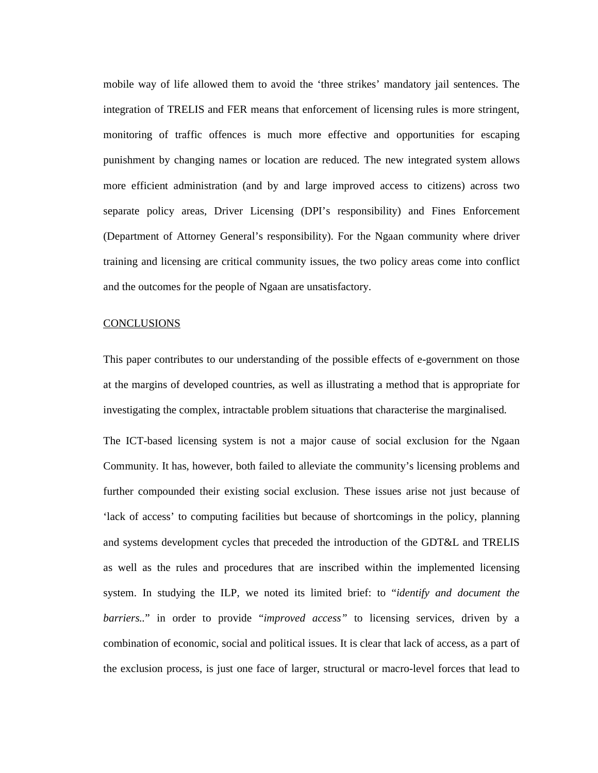mobile way of life allowed them to avoid the 'three strikes' mandatory jail sentences. The integration of TRELIS and FER means that enforcement of licensing rules is more stringent, monitoring of traffic offences is much more effective and opportunities for escaping punishment by changing names or location are reduced. The new integrated system allows more efficient administration (and by and large improved access to citizens) across two separate policy areas, Driver Licensing (DPI's responsibility) and Fines Enforcement (Department of Attorney General's responsibility). For the Ngaan community where driver training and licensing are critical community issues, the two policy areas come into conflict and the outcomes for the people of Ngaan are unsatisfactory.

### **CONCLUSIONS**

This paper contributes to our understanding of the possible effects of e-government on those at the margins of developed countries, as well as illustrating a method that is appropriate for investigating the complex, intractable problem situations that characterise the marginalised.

The ICT-based licensing system is not a major cause of social exclusion for the Ngaan Community. It has, however, both failed to alleviate the community's licensing problems and further compounded their existing social exclusion. These issues arise not just because of 'lack of access' to computing facilities but because of shortcomings in the policy, planning and systems development cycles that preceded the introduction of the GDT&L and TRELIS as well as the rules and procedures that are inscribed within the implemented licensing system. In studying the ILP, we noted its limited brief: to "*identify and document the barriers..*" in order to provide "*improved access"* to licensing services, driven by a combination of economic, social and political issues. It is clear that lack of access, as a part of the exclusion process, is just one face of larger, structural or macro-level forces that lead to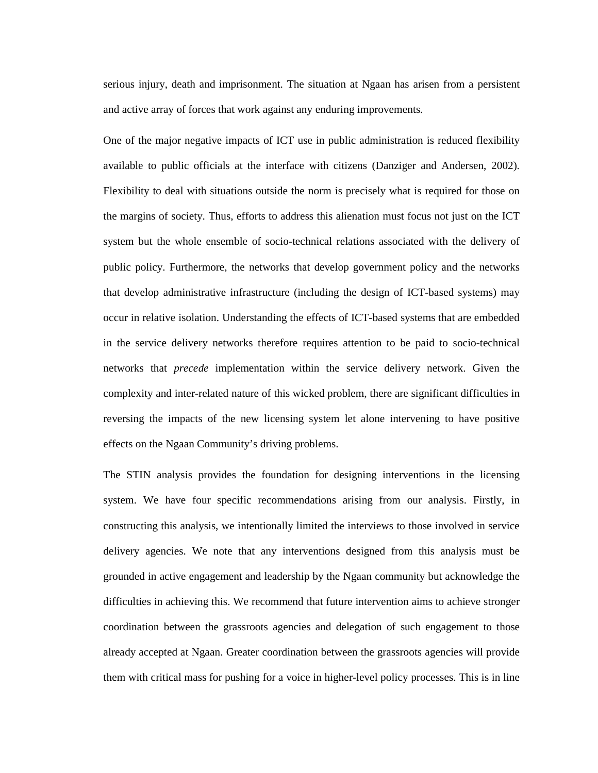serious injury, death and imprisonment. The situation at Ngaan has arisen from a persistent and active array of forces that work against any enduring improvements.

One of the major negative impacts of ICT use in public administration is reduced flexibility available to public officials at the interface with citizens (Danziger and Andersen, 2002). Flexibility to deal with situations outside the norm is precisely what is required for those on the margins of society. Thus, efforts to address this alienation must focus not just on the ICT system but the whole ensemble of socio-technical relations associated with the delivery of public policy. Furthermore, the networks that develop government policy and the networks that develop administrative infrastructure (including the design of ICT-based systems) may occur in relative isolation. Understanding the effects of ICT-based systems that are embedded in the service delivery networks therefore requires attention to be paid to socio-technical networks that *precede* implementation within the service delivery network. Given the complexity and inter-related nature of this wicked problem, there are significant difficulties in reversing the impacts of the new licensing system let alone intervening to have positive effects on the Ngaan Community's driving problems.

The STIN analysis provides the foundation for designing interventions in the licensing system. We have four specific recommendations arising from our analysis. Firstly, in constructing this analysis, we intentionally limited the interviews to those involved in service delivery agencies. We note that any interventions designed from this analysis must be grounded in active engagement and leadership by the Ngaan community but acknowledge the difficulties in achieving this. We recommend that future intervention aims to achieve stronger coordination between the grassroots agencies and delegation of such engagement to those already accepted at Ngaan. Greater coordination between the grassroots agencies will provide them with critical mass for pushing for a voice in higher-level policy processes. This is in line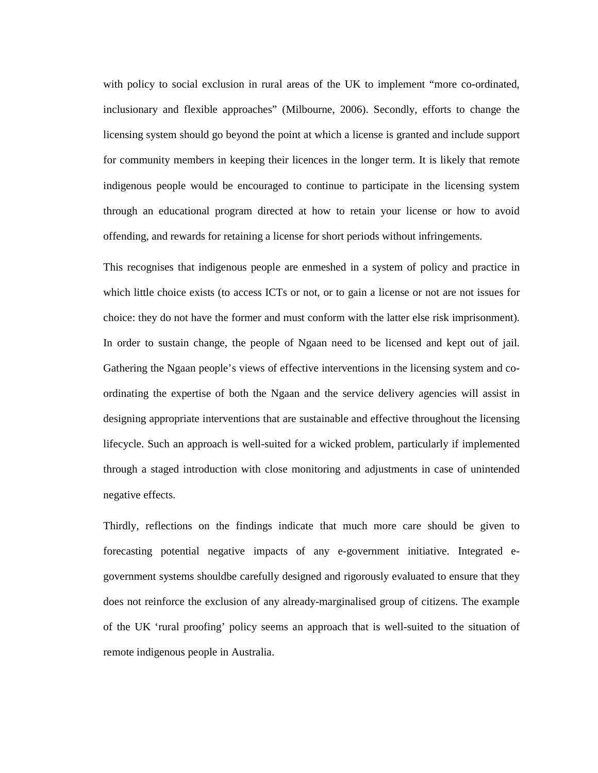with policy to social exclusion in rural areas of the UK to implement "more co-ordinated, inclusionary and flexible approaches" (Milbourne, 2006). Secondly, efforts to change the licensing system should go beyond the point at which a license is granted and include support for community members in keeping their licences in the longer term. It is likely that remote indigenous people would be encouraged to continue to participate in the licensing system through an educational program directed at how to retain your license or how to avoid offending, and rewards for retaining a license for short periods without infringements.

This recognises that indigenous people are enmeshed in a system of policy and practice in which little choice exists (to access ICTs or not, or to gain a license or not are not issues for choice: they do not have the former and must conform with the latter else risk imprisonment). In order to sustain change, the people of Ngaan need to be licensed and kept out of jail. Gathering the Ngaan people's views of effective interventions in the licensing system and coordinating the expertise of both the Ngaan and the service delivery agencies will assist in designing appropriate interventions that are sustainable and effective throughout the licensing lifecycle. Such an approach is well-suited for a wicked problem, particularly if implemented through a staged introduction with close monitoring and adjustments in case of unintended negative effects.

Thirdly, reflections on the findings indicate that much more care should be given to forecasting potential negative impacts of any e-government initiative. Integrated egovernment systems shouldbe carefully designed and rigorously evaluated to ensure that they does not reinforce the exclusion of any already-marginalised group of citizens. The example of the UK 'rural proofing' policy seems an approach that is well-suited to the situation of remote indigenous people in Australia.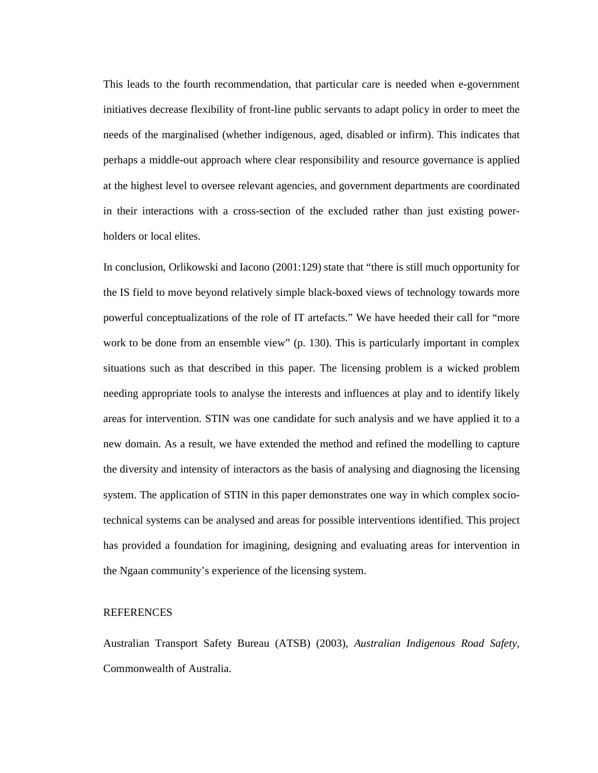This leads to the fourth recommendation, that particular care is needed when e-government initiatives decrease flexibility of front-line public servants to adapt policy in order to meet the needs of the marginalised (whether indigenous, aged, disabled or infirm). This indicates that perhaps a middle-out approach where clear responsibility and resource governance is applied at the highest level to oversee relevant agencies, and government departments are coordinated in their interactions with a cross-section of the excluded rather than just existing powerholders or local elites.

In conclusion, Orlikowski and Iacono (2001:129) state that "there is still much opportunity for the IS field to move beyond relatively simple black-boxed views of technology towards more powerful conceptualizations of the role of IT artefacts." We have heeded their call for "more work to be done from an ensemble view" (p. 130). This is particularly important in complex situations such as that described in this paper. The licensing problem is a wicked problem needing appropriate tools to analyse the interests and influences at play and to identify likely areas for intervention. STIN was one candidate for such analysis and we have applied it to a new domain. As a result, we have extended the method and refined the modelling to capture the diversity and intensity of interactors as the basis of analysing and diagnosing the licensing system. The application of STIN in this paper demonstrates one way in which complex sociotechnical systems can be analysed and areas for possible interventions identified. This project has provided a foundation for imagining, designing and evaluating areas for intervention in the Ngaan community's experience of the licensing system.

## **REFERENCES**

Australian Transport Safety Bureau (ATSB) (2003), *Australian Indigenous Road Safety*, Commonwealth of Australia.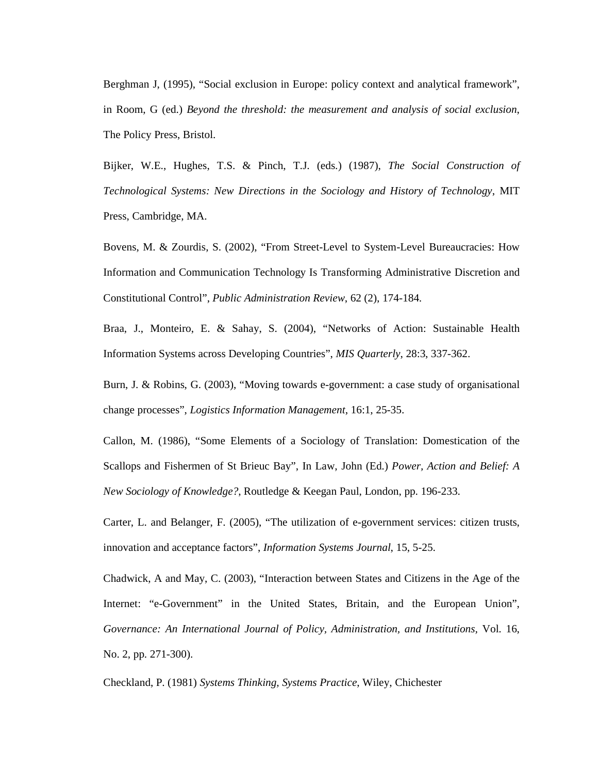Berghman J, (1995), "Social exclusion in Europe: policy context and analytical framework", in Room, G (ed.) *Beyond the threshold: the measurement and analysis of social exclusion*, The Policy Press, Bristol.

Bijker, W.E., Hughes, T.S. & Pinch, T.J. (eds.) (1987), *The Social Construction of Technological Systems: New Directions in the Sociology and History of Technology*, MIT Press, Cambridge, MA.

Bovens, M. & Zourdis, S. (2002), "From Street-Level to System-Level Bureaucracies: How Information and Communication Technology Is Transforming Administrative Discretion and Constitutional Control", *Public Administration Review*, 62 (2), 174-184.

Braa, J., Monteiro, E. & Sahay, S. (2004), "Networks of Action: Sustainable Health Information Systems across Developing Countries", *MIS Quarterly*, 28:3, 337-362.

Burn, J. & Robins, G. (2003), "Moving towards e-government: a case study of organisational change processes", *Logistics Information Management*, 16:1, 25-35.

Callon, M. (1986), "Some Elements of a Sociology of Translation: Domestication of the Scallops and Fishermen of St Brieuc Bay", In Law, John (Ed.) *Power, Action and Belief: A New Sociology of Knowledge?*, Routledge & Keegan Paul, London, pp. 196-233.

Carter, L. and Belanger, F. (2005), "The utilization of e-government services: citizen trusts, innovation and acceptance factors", *Information Systems Journal*, 15, 5-25.

Chadwick, A and May, C. (2003), "Interaction between States and Citizens in the Age of the Internet: "e-Government" in the United States, Britain, and the European Union", *Governance: An International Journal of Policy, Administration, and Institutions,* Vol. 16, No. 2, pp. 271-300).

Checkland, P. (1981) *Systems Thinking, Systems Practice*, Wiley, Chichester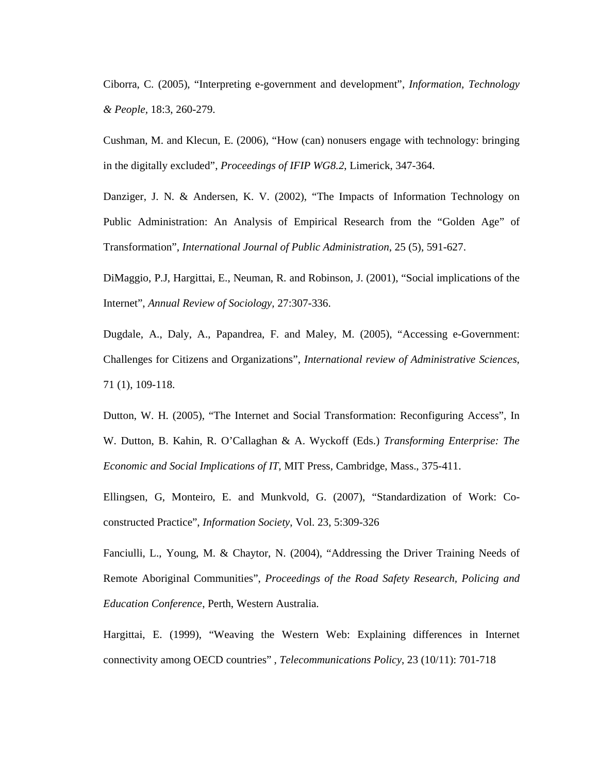Ciborra, C. (2005), "Interpreting e-government and development", *Information, Technology & People,* 18:3, 260-279.

Cushman, M. and Klecun, E. (2006), "How (can) nonusers engage with technology: bringing in the digitally excluded", *Proceedings of IFIP WG8.2*, Limerick, 347-364.

Danziger, J. N. & Andersen, K. V. (2002), "The Impacts of Information Technology on Public Administration: An Analysis of Empirical Research from the "Golden Age" of Transformation", *International Journal of Public Administration*, 25 (5), 591-627.

DiMaggio, P.J, Hargittai, E., Neuman, R. and Robinson, J. (2001), "Social implications of the Internet", *Annual Review of Sociology,* 27:307-336.

Dugdale, A., Daly, A., Papandrea, F. and Maley, M. (2005), "Accessing e-Government: Challenges for Citizens and Organizations", *International review of Administrative Sciences*, 71 (1), 109-118.

Dutton, W. H. (2005), "The Internet and Social Transformation: Reconfiguring Access", In W. Dutton, B. Kahin, R. O'Callaghan & A. Wyckoff (Eds.) *Transforming Enterprise: The Economic and Social Implications of IT*, MIT Press, Cambridge, Mass., 375-411.

Ellingsen, G, Monteiro, E. and Munkvold, G. (2007), "Standardization of Work: Coconstructed Practice", *Information Society*, Vol. 23, 5:309-326

Fanciulli, L., Young, M. & Chaytor, N. (2004), "Addressing the Driver Training Needs of Remote Aboriginal Communities", *Proceedings of the Road Safety Research, Policing and Education Conference*, Perth, Western Australia.

Hargittai, E. (1999), "Weaving the Western Web: Explaining differences in Internet connectivity among OECD countries" , *Telecommunications Policy*, 23 (10/11): 701-718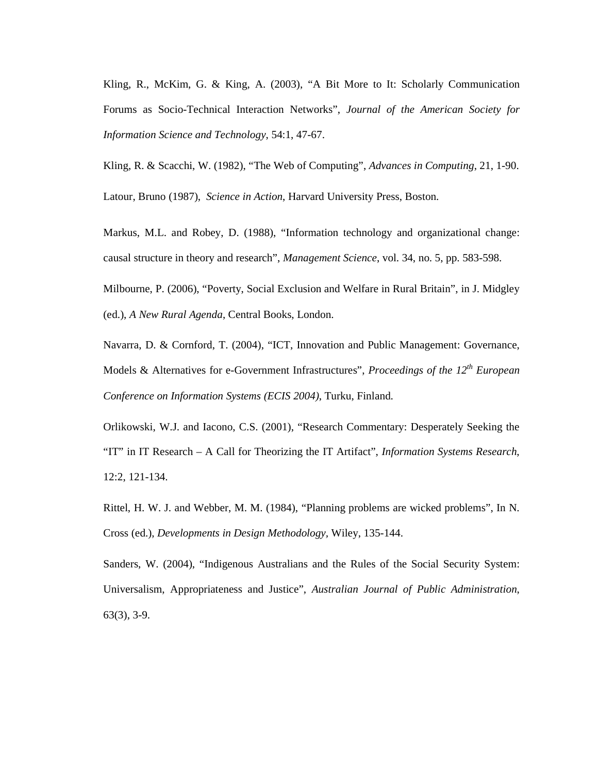Kling, R., McKim, G. & King, A. (2003), "A Bit More to It: Scholarly Communication Forums as Socio-Technical Interaction Networks", *Journal of the American Society for Information Science and Technology*, 54:1, 47-67.

Kling, R. & Scacchi, W. (1982), "The Web of Computing", *Advances in Computing*, 21, 1-90. Latour, Bruno (1987), *Science in Action*, Harvard University Press, Boston.

Markus, M.L. and Robey, D. (1988), "Information technology and organizational change: causal structure in theory and research", *Management Science*, vol. 34, no. 5, pp. 583-598.

Milbourne, P. (2006), "Poverty, Social Exclusion and Welfare in Rural Britain", in J. Midgley (ed.), *A New Rural Agenda*, Central Books, London.

Navarra, D. & Cornford, T. (2004), "ICT, Innovation and Public Management: Governance, Models & Alternatives for e-Government Infrastructures", *Proceedings of the 12th European Conference on Information Systems (ECIS 2004)*, Turku, Finland.

Orlikowski, W.J. and Iacono, C.S. (2001), "Research Commentary: Desperately Seeking the "IT" in IT Research – A Call for Theorizing the IT Artifact", *Information Systems Research*, 12:2, 121-134.

Rittel, H. W. J. and Webber, M. M. (1984), "Planning problems are wicked problems", In N. Cross (ed.), *Developments in Design Methodology,* Wiley, 135-144.

Sanders, W. (2004), "Indigenous Australians and the Rules of the Social Security System: Universalism, Appropriateness and Justice", *Australian Journal of Public Administration*, 63(3), 3-9.